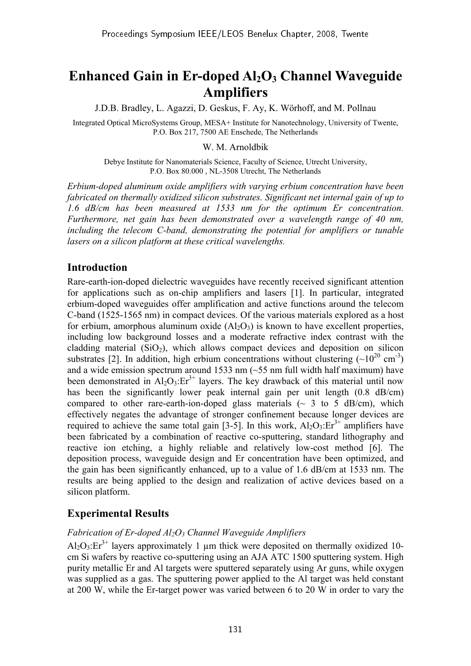# **Enhanced Gain in Er-doped Al<sub>2</sub>O<sub>3</sub> Channel Waveguide Amplifiers**

J.D.B. Bradley, L. Agazzi, D. Geskus, F. Ay, K. Wörhoff, and M. Pollnau

Integrated Optical MicroSystems Group, MESA+ Institute for Nanotechnology, University of Twente, P.O. Box 217, 7500 AE Enschede, The Netherlands

W. M. Arnoldbik

Debye Institute for Nanomaterials Science, Faculty of Science, Utrecht University, P.O. Box 80.000 , NL-3508 Utrecht, The Netherlands

*Erbium-doped aluminum oxide amplifiers with varying erbium concentration have been fabricated on thermally oxidized silicon substrates. Significant net internal gain of up to 1.6 dB/cm has been measured at 1533 nm for the optimum Er concentration. Furthermore, net gain has been demonstrated over a wavelength range of 40 nm, including the telecom C-band, demonstrating the potential for amplifiers or tunable lasers on a silicon platform at these critical wavelengths.* 

#### **Introduction**

Rare-earth-ion-doped dielectric waveguides have recently received significant attention for applications such as on-chip amplifiers and lasers [1]. In particular, integrated erbium-doped waveguides offer amplification and active functions around the telecom C-band (1525-1565 nm) in compact devices. Of the various materials explored as a host for erbium, amorphous aluminum oxide  $(A_1, O_3)$  is known to have excellent properties, including low background losses and a moderate refractive index contrast with the cladding material  $(SiO<sub>2</sub>)$ , which allows compact devices and deposition on silicon substrates [2]. In addition, high erbium concentrations without clustering  $({\sim}10^{20} \text{ cm}^3)$ and a wide emission spectrum around 1533 nm  $(\sim 55$  nm full width half maximum) have been demonstrated in  $Al_2O_3$ :  $Er^{3+}$  layers. The key drawback of this material until now has been the significantly lower peak internal gain per unit length (0.8 dB/cm) compared to other rare-earth-ion-doped glass materials  $(\sim 3 \text{ to } 5 \text{ dB/cm})$ , which effectively negates the advantage of stronger confinement because longer devices are required to achieve the same total gain [3-5]. In this work,  $Al_2O_3$ : $Er^{3+}$  amplifiers have been fabricated by a combination of reactive co-sputtering, standard lithography and reactive ion etching, a highly reliable and relatively low-cost method [6]. The deposition process, waveguide design and Er concentration have been optimized, and the gain has been significantly enhanced, up to a value of 1.6 dB/cm at 1533 nm. The results are being applied to the design and realization of active devices based on a silicon platform.

#### **Experimental Results**

#### *Fabrication of Er-doped Al2O3 Channel Waveguide Amplifiers*

Al<sub>2</sub>O<sub>3</sub>: $Er^{3+}$  layers approximately 1 µm thick were deposited on thermally oxidized 10cm Si wafers by reactive co-sputtering using an AJA ATC 1500 sputtering system. High purity metallic Er and Al targets were sputtered separately using Ar guns, while oxygen was supplied as a gas. The sputtering power applied to the Al target was held constant at 200 W, while the Er-target power was varied between 6 to 20 W in order to vary the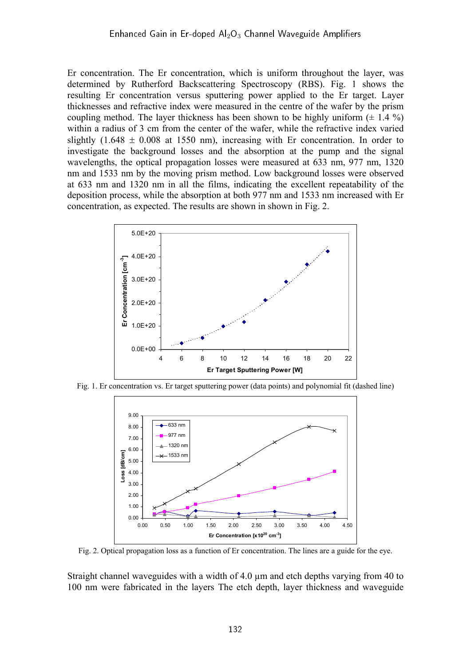Er concentration. The Er concentration, which is uniform throughout the layer, was determined by Rutherford Backscattering Spectroscopy (RBS). Fig. 1 shows the resulting Er concentration versus sputtering power applied to the Er target. Layer thicknesses and refractive index were measured in the centre of the wafer by the prism coupling method. The layer thickness has been shown to be highly uniform  $(\pm 1.4 \%)$ within a radius of 3 cm from the center of the wafer, while the refractive index varied slightly  $(1.648 \pm 0.008$  at 1550 nm), increasing with Er concentration. In order to investigate the background losses and the absorption at the pump and the signal wavelengths, the optical propagation losses were measured at 633 nm, 977 nm, 1320 nm and 1533 nm by the moving prism method. Low background losses were observed at 633 nm and 1320 nm in all the films, indicating the excellent repeatability of the deposition process, while the absorption at both 977 nm and 1533 nm increased with Er concentration, as expected. The results are shown in shown in Fig. 2.



Fig. 1. Er concentration vs. Er target sputtering power (data points) and polynomial fit (dashed line)



Fig. 2. Optical propagation loss as a function of Er concentration. The lines are a guide for the eye.

Straight channel waveguides with a width of 4.0 µm and etch depths varying from 40 to 100 nm were fabricated in the layers The etch depth, layer thickness and waveguide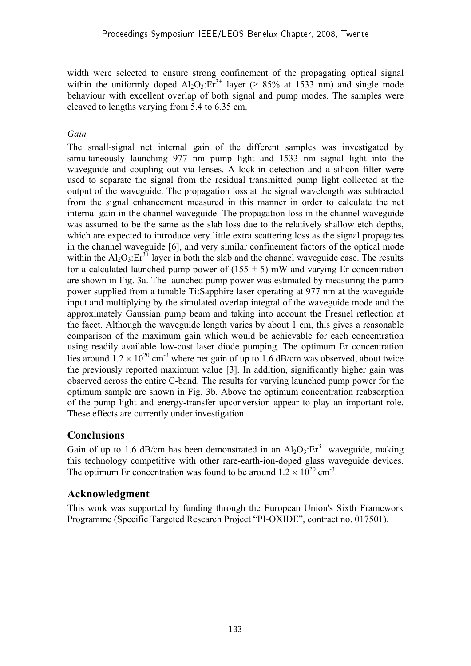width were selected to ensure strong confinement of the propagating optical signal within the uniformly doped  $Al_2O_3:Er^{3+}$  layer ( $\geq 85\%$  at 1533 nm) and single mode behaviour with excellent overlap of both signal and pump modes. The samples were cleaved to lengths varying from 5.4 to 6.35 cm.

### *Gain*

The small-signal net internal gain of the different samples was investigated by simultaneously launching 977 nm pump light and 1533 nm signal light into the waveguide and coupling out via lenses. A lock-in detection and a silicon filter were used to separate the signal from the residual transmitted pump light collected at the output of the waveguide. The propagation loss at the signal wavelength was subtracted from the signal enhancement measured in this manner in order to calculate the net internal gain in the channel waveguide. The propagation loss in the channel waveguide was assumed to be the same as the slab loss due to the relatively shallow etch depths, which are expected to introduce very little extra scattering loss as the signal propagates in the channel waveguide [6], and very similar confinement factors of the optical mode within the  $Al_2O_3$ :  $Er^{3+}$  layer in both the slab and the channel waveguide case. The results for a calculated launched pump power of  $(155 \pm 5)$  mW and varying Er concentration are shown in Fig. 3a. The launched pump power was estimated by measuring the pump power supplied from a tunable Ti:Sapphire laser operating at 977 nm at the waveguide input and multiplying by the simulated overlap integral of the waveguide mode and the approximately Gaussian pump beam and taking into account the Fresnel reflection at the facet. Although the waveguide length varies by about 1 cm, this gives a reasonable comparison of the maximum gain which would be achievable for each concentration using readily available low-cost laser diode pumping. The optimum Er concentration lies around  $1.2 \times 10^{20}$  cm<sup>-3</sup> where net gain of up to 1.6 dB/cm was observed, about twice the previously reported maximum value [3]. In addition, significantly higher gain was observed across the entire C-band. The results for varying launched pump power for the optimum sample are shown in Fig. 3b. Above the optimum concentration reabsorption of the pump light and energy-transfer upconversion appear to play an important role. These effects are currently under investigation.

# **Conclusions**

Gain of up to 1.6 dB/cm has been demonstrated in an  $Al_2O_3$ : $Er^{3+}$  waveguide, making this technology competitive with other rare-earth-ion-doped glass waveguide devices. The optimum Er concentration was found to be around  $1.2 \times 10^{20}$  cm<sup>-3</sup>.

# **Acknowledgment**

This work was supported by funding through the European Union's Sixth Framework Programme (Specific Targeted Research Project "PI-OXIDE", contract no. 017501).